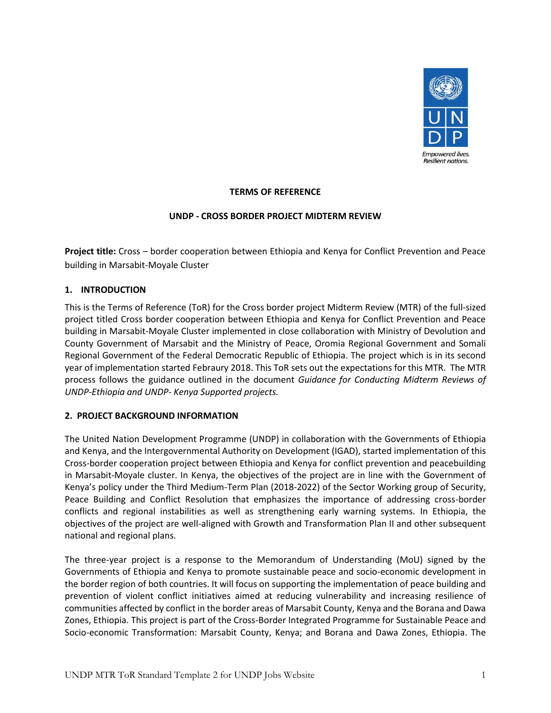

# **TERMS OF REFERENCE**

## **UNDP - CROSS BORDER PROJECT MIDTERM REVIEW**

**Project title:** Cross – border cooperation between Ethiopia and Kenya for Conflict Prevention and Peace building in Marsabit-Moyale Cluster

# **1. INTRODUCTION**

This is the Terms of Reference (ToR) for the Cross border project Midterm Review (MTR) of the full-sized project titled Cross border cooperation between Ethiopia and Kenya for Conflict Prevention and Peace building in Marsabit-Moyale Cluster implemented in close collaboration with Ministry of Devolution and County Government of Marsabit and the Ministry of Peace, Oromia Regional Government and Somali Regional Government of the Federal Democratic Republic of Ethiopia. The project which is in its second year of implementation started Febraury 2018. This ToR sets out the expectations for this MTR. The MTR process follows the guidance outlined in the document *Guidance for Conducting Midterm Reviews of UNDP-Ethiopia and UNDP- Kenya Supported projects.* 

## **2. PROJECT BACKGROUND INFORMATION**

The United Nation Development Programme (UNDP) in collaboration with the Governments of Ethiopia and Kenya, and the Intergovernmental Authority on Development (IGAD), started implementation of this Cross-border cooperation project between Ethiopia and Kenya for conflict prevention and peacebuilding in Marsabit-Moyale cluster. In Kenya, the objectives of the project are in line with the Government of Kenya's policy under the Third Medium-Term Plan (2018-2022) of the Sector Working group of Security, Peace Building and Conflict Resolution that emphasizes the importance of addressing cross-border conflicts and regional instabilities as well as strengthening early warning systems. In Ethiopia, the objectives of the project are well-aligned with Growth and Transformation Plan II and other subsequent national and regional plans.

The three-year project is a response to the Memorandum of Understanding (MoU) signed by the Governments of Ethiopia and Kenya to promote sustainable peace and socio-economic development in the border region of both countries. It will focus on supporting the implementation of peace building and prevention of violent conflict initiatives aimed at reducing vulnerability and increasing resilience of communities affected by conflict in the border areas of Marsabit County, Kenya and the Borana and Dawa Zones, Ethiopia. This project is part of the Cross-Border Integrated Programme for Sustainable Peace and Socio-economic Transformation: Marsabit County, Kenya; and Borana and Dawa Zones, Ethiopia. The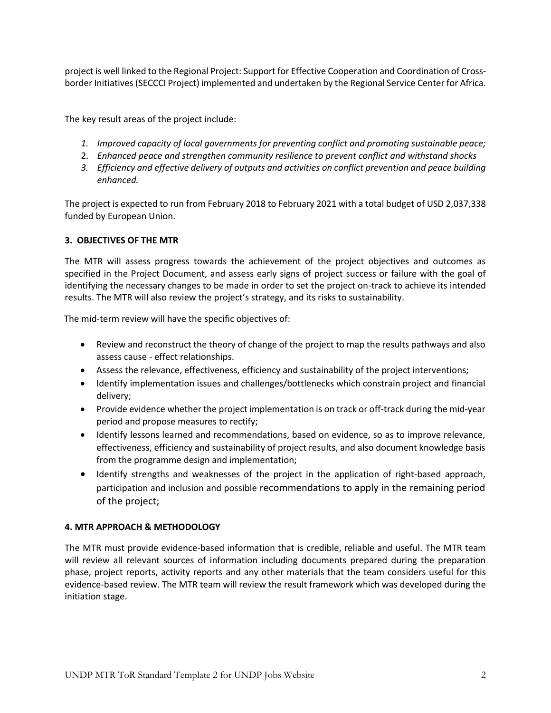project is well linked to the Regional Project: Support for Effective Cooperation and Coordination of Crossborder Initiatives (SECCCI Project) implemented and undertaken by the Regional Service Center for Africa.

The key result areas of the project include:

- *1. Improved capacity of local governments for preventing conflict and promoting sustainable peace;*
- 2. *Enhanced peace and strengthen community resilience to prevent conflict and withstand shocks*
- *3. Efficiency and effective delivery of outputs and activities on conflict prevention and peace building enhanced.*

The project is expected to run from February 2018 to February 2021 with a total budget of USD 2,037,338 funded by European Union.

# **3. OBJECTIVES OF THE MTR**

The MTR will assess progress towards the achievement of the project objectives and outcomes as specified in the Project Document, and assess early signs of project success or failure with the goal of identifying the necessary changes to be made in order to set the project on-track to achieve its intended results. The MTR will also review the project's strategy, and its risks to sustainability.

The mid-term review will have the specific objectives of:

- Review and reconstruct the theory of change of the project to map the results pathways and also assess cause - effect relationships.
- Assess the relevance, effectiveness, efficiency and sustainability of the project interventions;
- Identify implementation issues and challenges/bottlenecks which constrain project and financial delivery;
- Provide evidence whether the project implementation is on track or off-track during the mid-year period and propose measures to rectify;
- Identify lessons learned and recommendations, based on evidence, so as to improve relevance, effectiveness, efficiency and sustainability of project results, and also document knowledge basis from the programme design and implementation;
- Identify strengths and weaknesses of the project in the application of right-based approach, participation and inclusion and possible recommendations to apply in the remaining period of the project;

## **4. MTR APPROACH & METHODOLOGY**

The MTR must provide evidence-based information that is credible, reliable and useful. The MTR team will review all relevant sources of information including documents prepared during the preparation phase, project reports, activity reports and any other materials that the team considers useful for this evidence-based review. The MTR team will review the result framework which was developed during the initiation stage.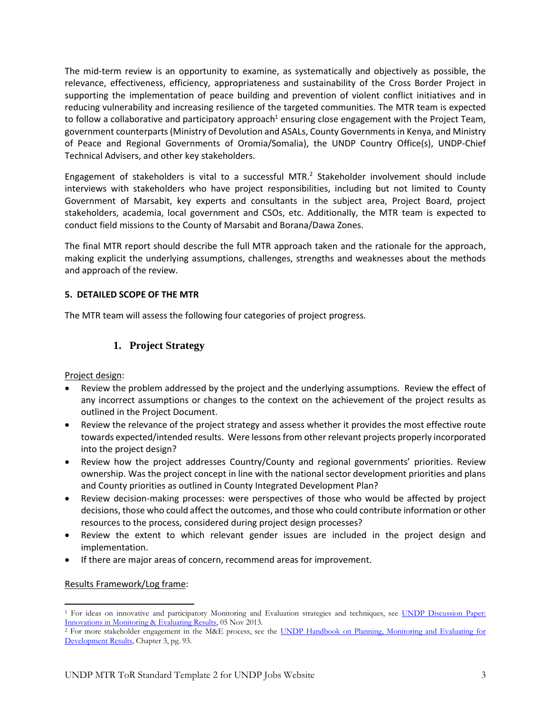The mid-term review is an opportunity to examine, as systematically and objectively as possible, the relevance, effectiveness, efficiency, appropriateness and sustainability of the Cross Border Project in supporting the implementation of peace building and prevention of violent conflict initiatives and in reducing vulnerability and increasing resilience of the targeted communities. The MTR team is expected to follow a collaborative and participatory approach<sup>1</sup> ensuring close engagement with the Project Team, government counterparts (Ministry of Devolution and ASALs, County Governments in Kenya, and Ministry of Peace and Regional Governments of Oromia/Somalia), the UNDP Country Office(s), UNDP-Chief Technical Advisers, and other key stakeholders.

Engagement of stakeholders is vital to a successful MTR.<sup>2</sup> Stakeholder involvement should include interviews with stakeholders who have project responsibilities, including but not limited to County Government of Marsabit, key experts and consultants in the subject area, Project Board, project stakeholders, academia, local government and CSOs, etc. Additionally, the MTR team is expected to conduct field missions to the County of Marsabit and Borana/Dawa Zones.

The final MTR report should describe the full MTR approach taken and the rationale for the approach, making explicit the underlying assumptions, challenges, strengths and weaknesses about the methods and approach of the review.

# **5. DETAILED SCOPE OF THE MTR**

The MTR team will assess the following four categories of project progress.

# **1. Project Strategy**

## Project design:

- Review the problem addressed by the project and the underlying assumptions. Review the effect of any incorrect assumptions or changes to the context on the achievement of the project results as outlined in the Project Document.
- Review the relevance of the project strategy and assess whether it provides the most effective route towards expected/intended results. Were lessons from other relevant projects properly incorporated into the project design?
- Review how the project addresses Country/County and regional governments' priorities. Review ownership. Was the project concept in line with the national sector development priorities and plans and County priorities as outlined in County Integrated Development Plan?
- Review decision-making processes: were perspectives of those who would be affected by project decisions, those who could affect the outcomes, and those who could contribute information or other resources to the process, considered during project design processes?
- Review the extent to which relevant gender issues are included in the project design and implementation.
- If there are major areas of concern, recommend areas for improvement.

## Results Framework/Log frame:

- <sup>1</sup> For ideas on innovative and participatory Monitoring and Evaluation strategies and techniques, see UNDP Discussion Paper: [Innovations in Monitoring & Evaluating Results,](http://www.undp.org/content/undp/en/home/librarypage/capacity-building/discussion-paper--innovations-in-monitoring---evaluating-results/) 05 Nov 2013.
- <sup>2</sup> For more stakeholder engagement in the M&E process, see the UNDP Handbook on Planning, Monitoring and Evaluating for [Development Results,](http://www.undg.org/docs/11653/UNDP-PME-Handbook-(2009).pdf) Chapter 3, pg. 93.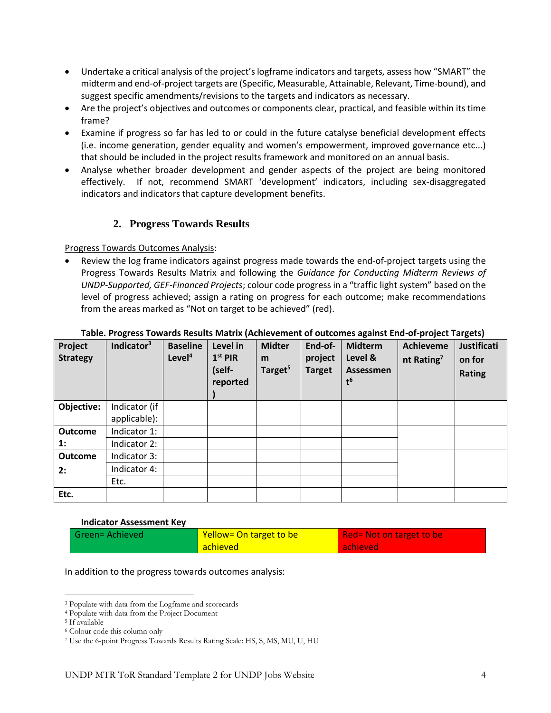- Undertake a critical analysis of the project's logframe indicators and targets, assess how "SMART" the midterm and end-of-project targets are (Specific, Measurable, Attainable, Relevant, Time-bound), and suggest specific amendments/revisions to the targets and indicators as necessary.
- Are the project's objectives and outcomes or components clear, practical, and feasible within its time frame?
- Examine if progress so far has led to or could in the future catalyse beneficial development effects (i.e. income generation, gender equality and women's empowerment, improved governance etc...) that should be included in the project results framework and monitored on an annual basis.
- Analyse whether broader development and gender aspects of the project are being monitored effectively. If not, recommend SMART 'development' indicators, including sex-disaggregated indicators and indicators that capture development benefits.

# **2. Progress Towards Results**

Progress Towards Outcomes Analysis:

• Review the log frame indicators against progress made towards the end-of-project targets using the Progress Towards Results Matrix and following the *Guidance for Conducting Midterm Reviews of UNDP-Supported, GEF-Financed Projects*; colour code progress in a "traffic light system" based on the level of progress achieved; assign a rating on progress for each outcome; make recommendations from the areas marked as "Not on target to be achieved" (red).

| Project<br><b>Strategy</b> | Indicator <sup>3</sup> | <b>Baseline</b><br>Level <sup>4</sup> | Level in<br>$1st$ PIR<br>(self-<br>reported | <b>Midter</b><br>m<br>Target <sup>5</sup> | End-of-<br>project<br><b>Target</b> | <b>Midterm</b><br>Level &<br><b>Assessmen</b><br>$t^6$ | <b>Achieveme</b><br>nt Rating <sup>7</sup> | Justificati<br>on for<br><b>Rating</b> |
|----------------------------|------------------------|---------------------------------------|---------------------------------------------|-------------------------------------------|-------------------------------------|--------------------------------------------------------|--------------------------------------------|----------------------------------------|
| Objective:                 | Indicator (if          |                                       |                                             |                                           |                                     |                                                        |                                            |                                        |
|                            | applicable):           |                                       |                                             |                                           |                                     |                                                        |                                            |                                        |
| <b>Outcome</b>             | Indicator 1:           |                                       |                                             |                                           |                                     |                                                        |                                            |                                        |
| 1:                         | Indicator 2:           |                                       |                                             |                                           |                                     |                                                        |                                            |                                        |
| <b>Outcome</b>             | Indicator 3:           |                                       |                                             |                                           |                                     |                                                        |                                            |                                        |
| 2:                         | Indicator 4:           |                                       |                                             |                                           |                                     |                                                        |                                            |                                        |
|                            | Etc.                   |                                       |                                             |                                           |                                     |                                                        |                                            |                                        |
| Etc.                       |                        |                                       |                                             |                                           |                                     |                                                        |                                            |                                        |

## **Table. Progress Towards Results Matrix (Achievement of outcomes against End-of-project Targets)**

#### **Indicator Assessment Key**

| <b>Green=Achieved</b> | Yellow= On target to be | Red= Not on target to be |
|-----------------------|-------------------------|--------------------------|
|                       | <b>achieved</b>         | achieved                 |

#### In addition to the progress towards outcomes analysis:

<sup>3</sup> Populate with data from the Logframe and scorecards

<sup>4</sup> Populate with data from the Project Document

<sup>5</sup> If available

<sup>6</sup> Colour code this column only

<sup>7</sup> Use the 6-point Progress Towards Results Rating Scale: HS, S, MS, MU, U, HU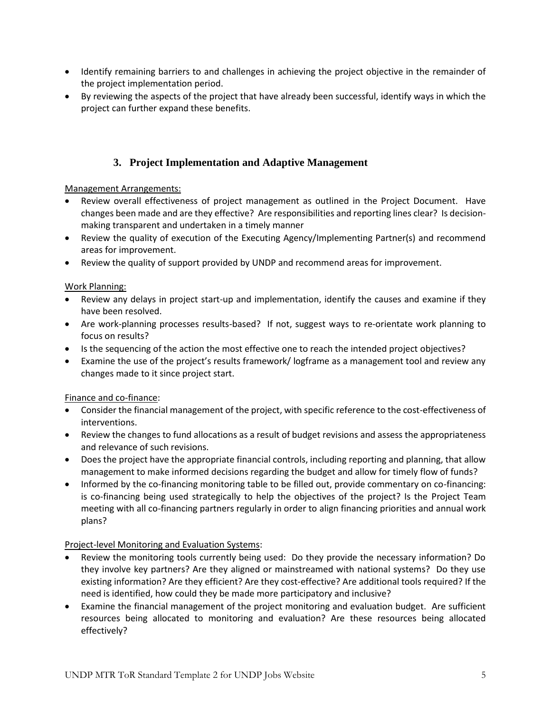- Identify remaining barriers to and challenges in achieving the project objective in the remainder of the project implementation period.
- By reviewing the aspects of the project that have already been successful, identify ways in which the project can further expand these benefits.

# **3. Project Implementation and Adaptive Management**

# Management Arrangements:

- Review overall effectiveness of project management as outlined in the Project Document. Have changes been made and are they effective? Are responsibilities and reporting lines clear? Is decisionmaking transparent and undertaken in a timely manner
- Review the quality of execution of the Executing Agency/Implementing Partner(s) and recommend areas for improvement.
- Review the quality of support provided by UNDP and recommend areas for improvement.

# Work Planning:

- Review any delays in project start-up and implementation, identify the causes and examine if they have been resolved.
- Are work-planning processes results-based? If not, suggest ways to re-orientate work planning to focus on results?
- Is the sequencing of the action the most effective one to reach the intended project objectives?
- Examine the use of the project's results framework/ logframe as a management tool and review any changes made to it since project start.

# Finance and co-finance:

- Consider the financial management of the project, with specific reference to the cost-effectiveness of interventions.
- Review the changes to fund allocations as a result of budget revisions and assess the appropriateness and relevance of such revisions.
- Does the project have the appropriate financial controls, including reporting and planning, that allow management to make informed decisions regarding the budget and allow for timely flow of funds?
- Informed by the co-financing monitoring table to be filled out, provide commentary on co-financing: is co-financing being used strategically to help the objectives of the project? Is the Project Team meeting with all co-financing partners regularly in order to align financing priorities and annual work plans?

# Project-level Monitoring and Evaluation Systems:

- Review the monitoring tools currently being used: Do they provide the necessary information? Do they involve key partners? Are they aligned or mainstreamed with national systems? Do they use existing information? Are they efficient? Are they cost-effective? Are additional tools required? If the need is identified, how could they be made more participatory and inclusive?
- Examine the financial management of the project monitoring and evaluation budget. Are sufficient resources being allocated to monitoring and evaluation? Are these resources being allocated effectively?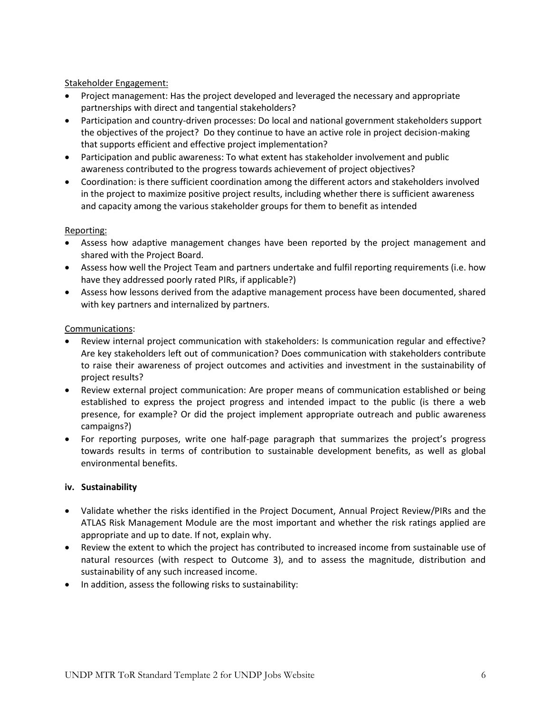## Stakeholder Engagement:

- Project management: Has the project developed and leveraged the necessary and appropriate partnerships with direct and tangential stakeholders?
- Participation and country-driven processes: Do local and national government stakeholders support the objectives of the project? Do they continue to have an active role in project decision-making that supports efficient and effective project implementation?
- Participation and public awareness: To what extent has stakeholder involvement and public awareness contributed to the progress towards achievement of project objectives?
- Coordination: is there sufficient coordination among the different actors and stakeholders involved in the project to maximize positive project results, including whether there is sufficient awareness and capacity among the various stakeholder groups for them to benefit as intended

## Reporting:

- Assess how adaptive management changes have been reported by the project management and shared with the Project Board.
- Assess how well the Project Team and partners undertake and fulfil reporting requirements (i.e. how have they addressed poorly rated PIRs, if applicable?)
- Assess how lessons derived from the adaptive management process have been documented, shared with key partners and internalized by partners.

## Communications:

- Review internal project communication with stakeholders: Is communication regular and effective? Are key stakeholders left out of communication? Does communication with stakeholders contribute to raise their awareness of project outcomes and activities and investment in the sustainability of project results?
- Review external project communication: Are proper means of communication established or being established to express the project progress and intended impact to the public (is there a web presence, for example? Or did the project implement appropriate outreach and public awareness campaigns?)
- For reporting purposes, write one half-page paragraph that summarizes the project's progress towards results in terms of contribution to sustainable development benefits, as well as global environmental benefits.

## **iv. Sustainability**

- Validate whether the risks identified in the Project Document, Annual Project Review/PIRs and the ATLAS Risk Management Module are the most important and whether the risk ratings applied are appropriate and up to date. If not, explain why.
- Review the extent to which the project has contributed to increased income from sustainable use of natural resources (with respect to Outcome 3), and to assess the magnitude, distribution and sustainability of any such increased income.
- In addition, assess the following risks to sustainability: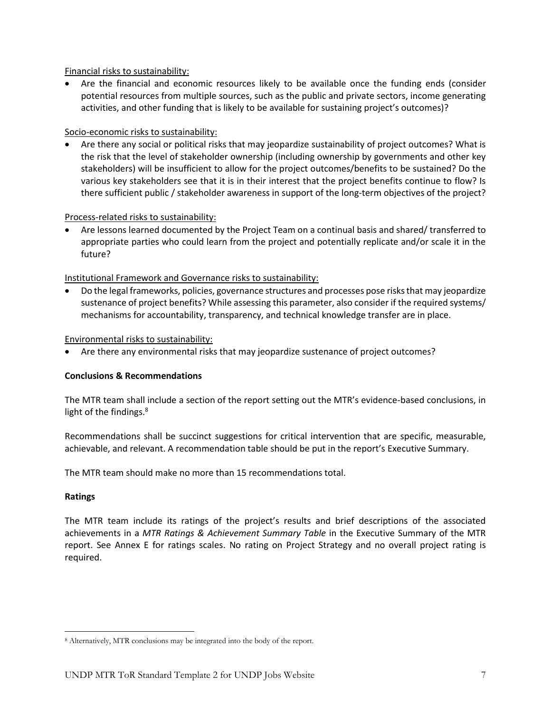Financial risks to sustainability:

• Are the financial and economic resources likely to be available once the funding ends (consider potential resources from multiple sources, such as the public and private sectors, income generating activities, and other funding that is likely to be available for sustaining project's outcomes)?

# Socio-economic risks to sustainability:

• Are there any social or political risks that may jeopardize sustainability of project outcomes? What is the risk that the level of stakeholder ownership (including ownership by governments and other key stakeholders) will be insufficient to allow for the project outcomes/benefits to be sustained? Do the various key stakeholders see that it is in their interest that the project benefits continue to flow? Is there sufficient public / stakeholder awareness in support of the long-term objectives of the project?

## Process-related risks to sustainability:

• Are lessons learned documented by the Project Team on a continual basis and shared/ transferred to appropriate parties who could learn from the project and potentially replicate and/or scale it in the future?

# Institutional Framework and Governance risks to sustainability:

• Do the legal frameworks, policies, governance structures and processes pose risks that may jeopardize sustenance of project benefits? While assessing this parameter, also consider if the required systems/ mechanisms for accountability, transparency, and technical knowledge transfer are in place.

# Environmental risks to sustainability:

• Are there any environmental risks that may jeopardize sustenance of project outcomes?

# **Conclusions & Recommendations**

The MTR team shall include a section of the report setting out the MTR's evidence-based conclusions, in light of the findings. $8$ 

Recommendations shall be succinct suggestions for critical intervention that are specific, measurable, achievable, and relevant. A recommendation table should be put in the report's Executive Summary.

The MTR team should make no more than 15 recommendations total.

## **Ratings**

The MTR team include its ratings of the project's results and brief descriptions of the associated achievements in a *MTR Ratings & Achievement Summary Table* in the Executive Summary of the MTR report. See Annex E for ratings scales. No rating on Project Strategy and no overall project rating is required.

<sup>8</sup> Alternatively, MTR conclusions may be integrated into the body of the report.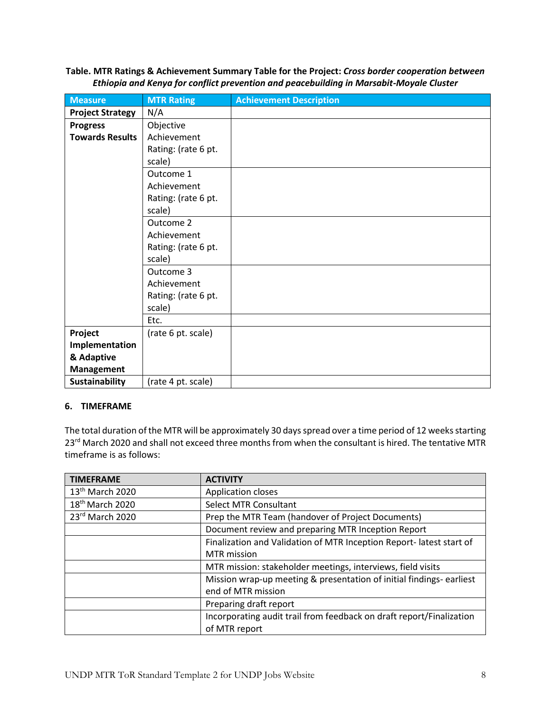**Table. MTR Ratings & Achievement Summary Table for the Project:** *Cross border cooperation between Ethiopia and Kenya for conflict prevention and peacebuilding in Marsabit-Moyale Cluster*

| <b>Measure</b>          | <b>MTR Rating</b>   | <b>Achievement Description</b> |
|-------------------------|---------------------|--------------------------------|
| <b>Project Strategy</b> | N/A                 |                                |
| <b>Progress</b>         | Objective           |                                |
| <b>Towards Results</b>  | Achievement         |                                |
|                         | Rating: (rate 6 pt. |                                |
|                         | scale)              |                                |
|                         | Outcome 1           |                                |
|                         | Achievement         |                                |
|                         | Rating: (rate 6 pt. |                                |
|                         | scale)              |                                |
|                         | Outcome 2           |                                |
|                         | Achievement         |                                |
|                         | Rating: (rate 6 pt. |                                |
|                         | scale)              |                                |
|                         | Outcome 3           |                                |
|                         | Achievement         |                                |
|                         | Rating: (rate 6 pt. |                                |
|                         | scale)              |                                |
|                         | Etc.                |                                |
| Project                 | (rate 6 pt. scale)  |                                |
| Implementation          |                     |                                |
| & Adaptive              |                     |                                |
| <b>Management</b>       |                     |                                |
| <b>Sustainability</b>   | (rate 4 pt. scale)  |                                |

# **6. TIMEFRAME**

The total duration of the MTR will be approximately 30 days spread over a time period of 12 weeks starting 23<sup>rd</sup> March 2020 and shall not exceed three months from when the consultant is hired. The tentative MTR timeframe is as follows:

| <b>TIMEFRAME</b>            | <b>ACTIVITY</b>                                                      |
|-----------------------------|----------------------------------------------------------------------|
| 13 <sup>th</sup> March 2020 | <b>Application closes</b>                                            |
| 18 <sup>th</sup> March 2020 | <b>Select MTR Consultant</b>                                         |
| 23rd March 2020             | Prep the MTR Team (handover of Project Documents)                    |
|                             | Document review and preparing MTR Inception Report                   |
|                             | Finalization and Validation of MTR Inception Report- latest start of |
|                             | <b>MTR</b> mission                                                   |
|                             | MTR mission: stakeholder meetings, interviews, field visits          |
|                             | Mission wrap-up meeting & presentation of initial findings-earliest  |
|                             | end of MTR mission                                                   |
|                             | Preparing draft report                                               |
|                             | Incorporating audit trail from feedback on draft report/Finalization |
|                             | of MTR report                                                        |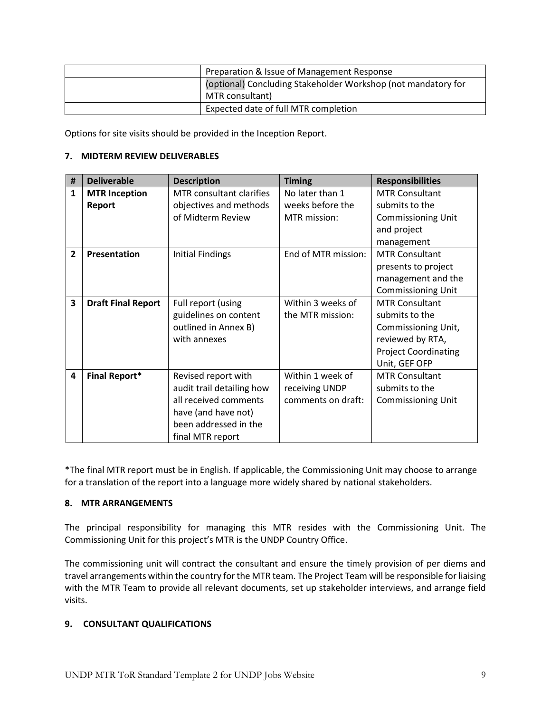| Preparation & Issue of Management Response                    |
|---------------------------------------------------------------|
| (optional) Concluding Stakeholder Workshop (not mandatory for |
| MTR consultant)                                               |
| Expected date of full MTR completion                          |

Options for site visits should be provided in the Inception Report.

# **7. MIDTERM REVIEW DELIVERABLES**

| #              | <b>Deliverable</b>        | <b>Description</b>        | <b>Timing</b>       | <b>Responsibilities</b>     |
|----------------|---------------------------|---------------------------|---------------------|-----------------------------|
| 1              | <b>MTR Inception</b>      | MTR consultant clarifies  | No later than 1     | <b>MTR Consultant</b>       |
|                | Report                    | objectives and methods    | weeks before the    | submits to the              |
|                |                           | of Midterm Review         | MTR mission:        | <b>Commissioning Unit</b>   |
|                |                           |                           |                     | and project                 |
|                |                           |                           |                     | management                  |
| $\overline{2}$ | Presentation              | <b>Initial Findings</b>   | End of MTR mission: | <b>MTR Consultant</b>       |
|                |                           |                           |                     | presents to project         |
|                |                           |                           |                     | management and the          |
|                |                           |                           |                     | Commissioning Unit          |
| 3              | <b>Draft Final Report</b> | Full report (using        | Within 3 weeks of   | <b>MTR Consultant</b>       |
|                |                           | guidelines on content     | the MTR mission:    | submits to the              |
|                |                           | outlined in Annex B)      |                     | Commissioning Unit,         |
|                |                           | with annexes              |                     | reviewed by RTA,            |
|                |                           |                           |                     | <b>Project Coordinating</b> |
|                |                           |                           |                     | Unit, GEF OFP               |
| 4              | <b>Final Report*</b>      | Revised report with       | Within 1 week of    | <b>MTR Consultant</b>       |
|                |                           | audit trail detailing how | receiving UNDP      | submits to the              |
|                |                           | all received comments     | comments on draft:  | Commissioning Unit          |
|                |                           | have (and have not)       |                     |                             |
|                |                           | been addressed in the     |                     |                             |
|                |                           | final MTR report          |                     |                             |

\*The final MTR report must be in English. If applicable, the Commissioning Unit may choose to arrange for a translation of the report into a language more widely shared by national stakeholders.

## **8. MTR ARRANGEMENTS**

The principal responsibility for managing this MTR resides with the Commissioning Unit. The Commissioning Unit for this project's MTR is the UNDP Country Office.

The commissioning unit will contract the consultant and ensure the timely provision of per diems and travel arrangements within the country for the MTR team. The Project Team will be responsible for liaising with the MTR Team to provide all relevant documents, set up stakeholder interviews, and arrange field visits.

# **9. CONSULTANT QUALIFICATIONS**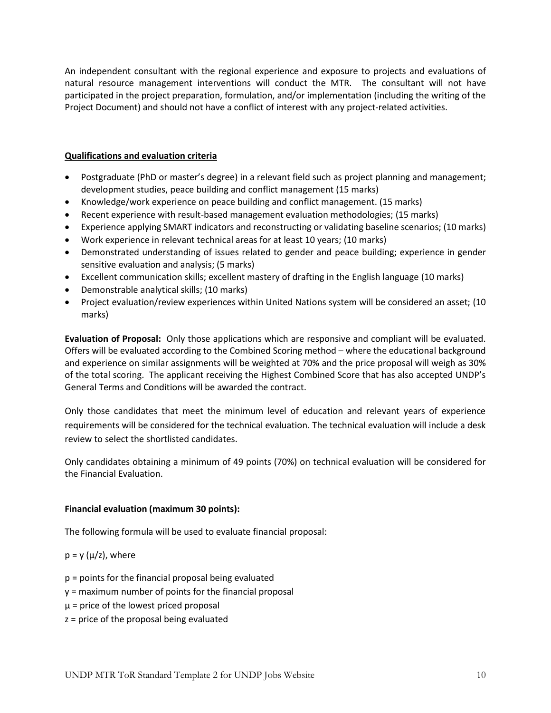An independent consultant with the regional experience and exposure to projects and evaluations of natural resource management interventions will conduct the MTR. The consultant will not have participated in the project preparation, formulation, and/or implementation (including the writing of the Project Document) and should not have a conflict of interest with any project-related activities.

## **Qualifications and evaluation criteria**

- Postgraduate (PhD or master's degree) in a relevant field such as project planning and management; development studies, peace building and conflict management (15 marks)
- Knowledge/work experience on peace building and conflict management. (15 marks)
- Recent experience with result-based management evaluation methodologies; (15 marks)
- Experience applying SMART indicators and reconstructing or validating baseline scenarios; (10 marks)
- Work experience in relevant technical areas for at least 10 years; (10 marks)
- Demonstrated understanding of issues related to gender and peace building; experience in gender sensitive evaluation and analysis; (5 marks)
- Excellent communication skills; excellent mastery of drafting in the English language (10 marks)
- Demonstrable analytical skills; (10 marks)
- Project evaluation/review experiences within United Nations system will be considered an asset; (10 marks)

**Evaluation of Proposal:** Only those applications which are responsive and compliant will be evaluated. Offers will be evaluated according to the Combined Scoring method – where the educational background and experience on similar assignments will be weighted at 70% and the price proposal will weigh as 30% of the total scoring. The applicant receiving the Highest Combined Score that has also accepted UNDP's General Terms and Conditions will be awarded the contract.

Only those candidates that meet the minimum level of education and relevant years of experience requirements will be considered for the technical evaluation. The technical evaluation will include a desk review to select the shortlisted candidates.

Only candidates obtaining a minimum of 49 points (70%) on technical evaluation will be considered for the Financial Evaluation.

# **Financial evaluation (maximum 30 points):**

The following formula will be used to evaluate financial proposal:

 $p = y(\mu/z)$ , where

- p = points for the financial proposal being evaluated
- y = maximum number of points for the financial proposal
- $\mu$  = price of the lowest priced proposal
- z = price of the proposal being evaluated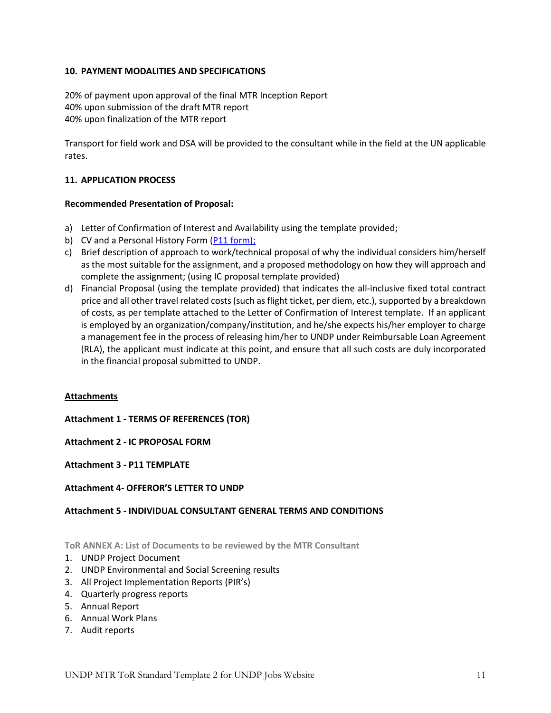# **10. PAYMENT MODALITIES AND SPECIFICATIONS**

20% of payment upon approval of the final MTR Inception Report 40% upon submission of the draft MTR report 40% upon finalization of the MTR report

Transport for field work and DSA will be provided to the consultant while in the field at the UN applicable rates.

## **11. APPLICATION PROCESS**

## **Recommended Presentation of Proposal:**

- a) Letter of Confirmation of Interest and Availability using the template provided;
- b) CV and a Personal History Form [\(P11 form\)](http://www.undp.org/content/dam/undp/library/corporate/Careers/P11_Personal_history_form.doc);
- c) Brief description of approach to work/technical proposal of why the individual considers him/herself as the most suitable for the assignment, and a proposed methodology on how they will approach and complete the assignment; (using IC proposal template provided)
- d) Financial Proposal (using the template provided) that indicates the all-inclusive fixed total contract price and all other travel related costs (such as flight ticket, per diem, etc.), supported by a breakdown of costs, as per template attached to the Letter of Confirmation of Interest template. If an applicant is employed by an organization/company/institution, and he/she expects his/her employer to charge a management fee in the process of releasing him/her to UNDP under Reimbursable Loan Agreement (RLA), the applicant must indicate at this point, and ensure that all such costs are duly incorporated in the financial proposal submitted to UNDP.

## **Attachments**

**Attachment 1 - TERMS OF REFERENCES (TOR)** 

**Attachment 2 - IC PROPOSAL FORM**

**Attachment 3 - P11 TEMPLATE**

## **Attachment 4- OFFEROR'S LETTER TO UNDP**

## **Attachment 5 - INDIVIDUAL CONSULTANT GENERAL TERMS AND CONDITIONS**

**ToR ANNEX A: List of Documents to be reviewed by the MTR Consultant**

- 1. UNDP Project Document
- 2. UNDP Environmental and Social Screening results
- 3. All Project Implementation Reports (PIR's)
- 4. Quarterly progress reports
- 5. Annual Report
- 6. Annual Work Plans
- 7. Audit reports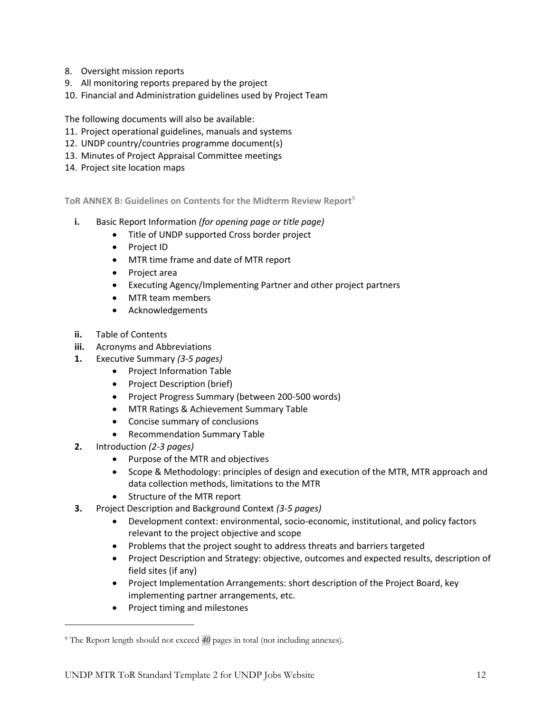- 8. Oversight mission reports
- 9. All monitoring reports prepared by the project
- 10. Financial and Administration guidelines used by Project Team

The following documents will also be available:

- 11. Project operational guidelines, manuals and systems
- 12. UNDP country/countries programme document(s)
- 13. Minutes of Project Appraisal Committee meetings
- 14. Project site location maps

**ToR ANNEX B: Guidelines on Contents for the Midterm Review Report**<sup>9</sup>

- **i.** Basic Report Information *(for opening page or title page)*
	- Title of UNDP supported Cross border project
	- Project ID
	- MTR time frame and date of MTR report
	- Project area
	- Executing Agency/Implementing Partner and other project partners
	- MTR team members
	- Acknowledgements
- **ii.** Table of Contents
- **iii.** Acronyms and Abbreviations
- **1.** Executive Summary *(3-5 pages)*
	- Project Information Table
	- Project Description (brief)
	- Project Progress Summary (between 200-500 words)
	- MTR Ratings & Achievement Summary Table
	- Concise summary of conclusions
	- Recommendation Summary Table
- **2.** Introduction *(2-3 pages)*
	- Purpose of the MTR and objectives
	- Scope & Methodology: principles of design and execution of the MTR, MTR approach and data collection methods, limitations to the MTR
	- Structure of the MTR report
- **3.** Project Description and Background Context *(3-5 pages)*
	- Development context: environmental, socio-economic, institutional, and policy factors relevant to the project objective and scope
	- Problems that the project sought to address threats and barriers targeted
	- Project Description and Strategy: objective, outcomes and expected results, description of field sites (if any)
	- Project Implementation Arrangements: short description of the Project Board, key implementing partner arrangements, etc.
	- Project timing and milestones

<sup>9</sup> The Report length should not exceed *40* pages in total (not including annexes).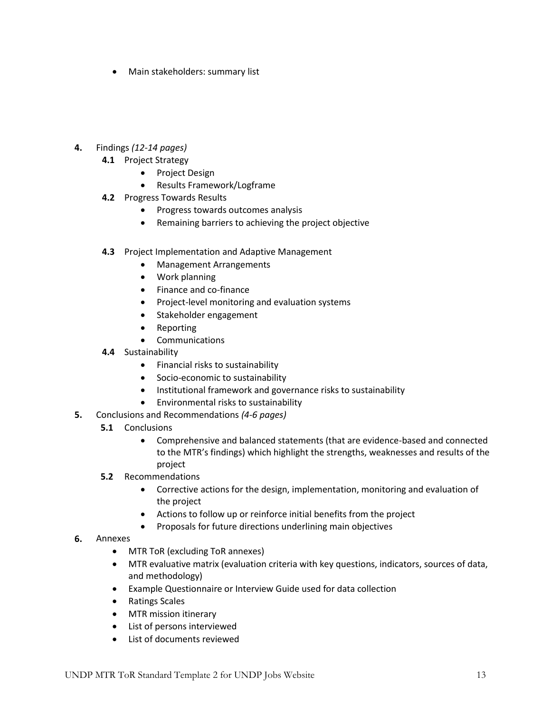• Main stakeholders: summary list

# **4.** Findings *(12-14 pages)*

- **4.1** Project Strategy
	- Project Design
	- Results Framework/Logframe
- **4.2** Progress Towards Results
	- Progress towards outcomes analysis
	- Remaining barriers to achieving the project objective
- **4.3** Project Implementation and Adaptive Management
	- Management Arrangements
	- Work planning
	- Finance and co-finance
	- Project-level monitoring and evaluation systems
	- Stakeholder engagement
	- Reporting
	- Communications
- **4.4** Sustainability
	- Financial risks to sustainability
	- Socio-economic to sustainability
	- Institutional framework and governance risks to sustainability
	- Environmental risks to sustainability
- **5.** Conclusions and Recommendations *(4-6 pages)*
	- **5.1**  Conclusions
		- Comprehensive and balanced statements (that are evidence-based and connected to the MTR's findings) which highlight the strengths, weaknesses and results of the project
	- **5.2** Recommendations
		- Corrective actions for the design, implementation, monitoring and evaluation of the project
		- Actions to follow up or reinforce initial benefits from the project
		- Proposals for future directions underlining main objectives
- **6.** Annexes
	- MTR ToR (excluding ToR annexes)
	- MTR evaluative matrix (evaluation criteria with key questions, indicators, sources of data, and methodology)
	- Example Questionnaire or Interview Guide used for data collection
	- Ratings Scales
	- MTR mission itinerary
	- List of persons interviewed
	- List of documents reviewed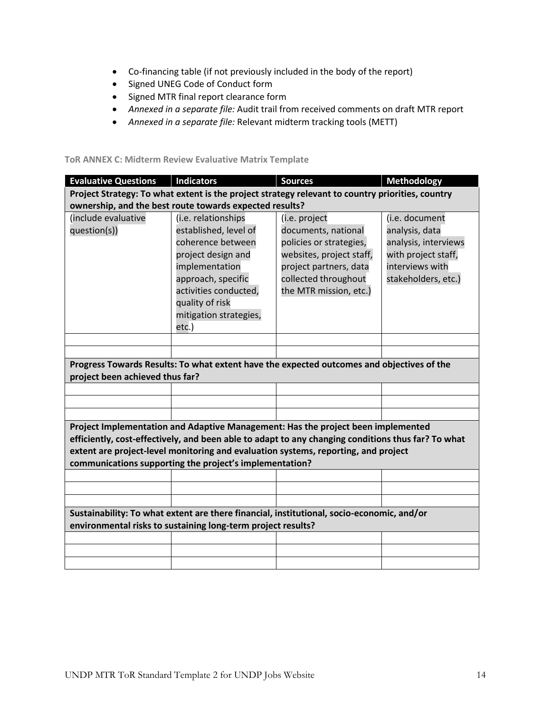- Co-financing table (if not previously included in the body of the report)
- Signed UNEG Code of Conduct form
- Signed MTR final report clearance form
- *Annexed in a separate file:* Audit trail from received comments on draft MTR report
- *Annexed in a separate file:* Relevant midterm tracking tools (METT)

## **ToR ANNEX C: Midterm Review Evaluative Matrix Template**

| <b>Evaluative Questions</b>                                                                                                                                                                                                                                                                                                             | <b>Indicators</b>                                                                                                                                                                                     | <b>Sources</b>                                                                                                                                                          | <b>Methodology</b>                                                                                                        |  |  |
|-----------------------------------------------------------------------------------------------------------------------------------------------------------------------------------------------------------------------------------------------------------------------------------------------------------------------------------------|-------------------------------------------------------------------------------------------------------------------------------------------------------------------------------------------------------|-------------------------------------------------------------------------------------------------------------------------------------------------------------------------|---------------------------------------------------------------------------------------------------------------------------|--|--|
|                                                                                                                                                                                                                                                                                                                                         | Project Strategy: To what extent is the project strategy relevant to country priorities, country                                                                                                      |                                                                                                                                                                         |                                                                                                                           |  |  |
|                                                                                                                                                                                                                                                                                                                                         | ownership, and the best route towards expected results?                                                                                                                                               |                                                                                                                                                                         |                                                                                                                           |  |  |
| (include evaluative<br>question(s))                                                                                                                                                                                                                                                                                                     | (i.e. relationships<br>established, level of<br>coherence between<br>project design and<br>implementation<br>approach, specific<br>activities conducted,<br>quality of risk<br>mitigation strategies, | (i.e. project<br>documents, national<br>policies or strategies,<br>websites, project staff,<br>project partners, data<br>collected throughout<br>the MTR mission, etc.) | (i.e. document<br>analysis, data<br>analysis, interviews<br>with project staff,<br>interviews with<br>stakeholders, etc.) |  |  |
|                                                                                                                                                                                                                                                                                                                                         | etc.)                                                                                                                                                                                                 |                                                                                                                                                                         |                                                                                                                           |  |  |
|                                                                                                                                                                                                                                                                                                                                         |                                                                                                                                                                                                       |                                                                                                                                                                         |                                                                                                                           |  |  |
|                                                                                                                                                                                                                                                                                                                                         |                                                                                                                                                                                                       |                                                                                                                                                                         |                                                                                                                           |  |  |
| project been achieved thus far?                                                                                                                                                                                                                                                                                                         | Progress Towards Results: To what extent have the expected outcomes and objectives of the                                                                                                             |                                                                                                                                                                         |                                                                                                                           |  |  |
|                                                                                                                                                                                                                                                                                                                                         |                                                                                                                                                                                                       |                                                                                                                                                                         |                                                                                                                           |  |  |
|                                                                                                                                                                                                                                                                                                                                         |                                                                                                                                                                                                       |                                                                                                                                                                         |                                                                                                                           |  |  |
|                                                                                                                                                                                                                                                                                                                                         |                                                                                                                                                                                                       |                                                                                                                                                                         |                                                                                                                           |  |  |
| Project Implementation and Adaptive Management: Has the project been implemented<br>efficiently, cost-effectively, and been able to adapt to any changing conditions thus far? To what<br>extent are project-level monitoring and evaluation systems, reporting, and project<br>communications supporting the project's implementation? |                                                                                                                                                                                                       |                                                                                                                                                                         |                                                                                                                           |  |  |
|                                                                                                                                                                                                                                                                                                                                         |                                                                                                                                                                                                       |                                                                                                                                                                         |                                                                                                                           |  |  |
|                                                                                                                                                                                                                                                                                                                                         |                                                                                                                                                                                                       |                                                                                                                                                                         |                                                                                                                           |  |  |
| Sustainability: To what extent are there financial, institutional, socio-economic, and/or<br>environmental risks to sustaining long-term project results?                                                                                                                                                                               |                                                                                                                                                                                                       |                                                                                                                                                                         |                                                                                                                           |  |  |
|                                                                                                                                                                                                                                                                                                                                         |                                                                                                                                                                                                       |                                                                                                                                                                         |                                                                                                                           |  |  |
|                                                                                                                                                                                                                                                                                                                                         |                                                                                                                                                                                                       |                                                                                                                                                                         |                                                                                                                           |  |  |
|                                                                                                                                                                                                                                                                                                                                         |                                                                                                                                                                                                       |                                                                                                                                                                         |                                                                                                                           |  |  |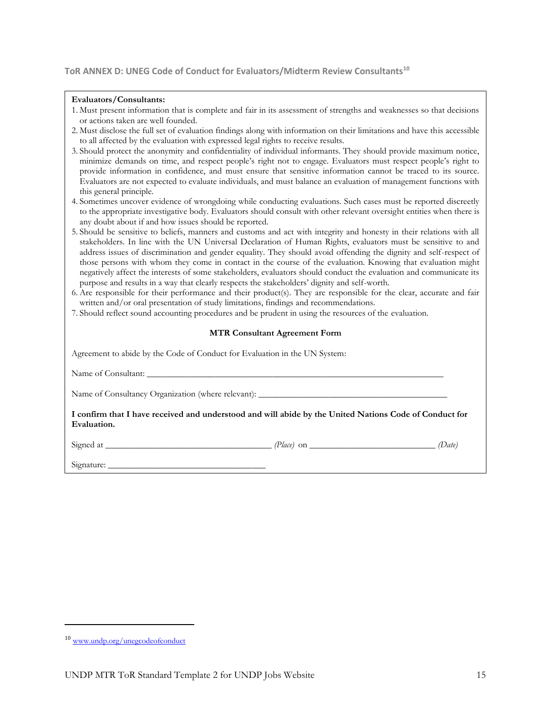#### **ToR ANNEX D: UNEG Code of Conduct for Evaluators/Midterm Review Consultants<sup>10</sup>**

#### **Evaluators/Consultants:**

| 1. Must present information that is complete and fair in its assessment of strengths and weaknesses so that decisions |  |  |  |
|-----------------------------------------------------------------------------------------------------------------------|--|--|--|
| or actions taken are well founded.                                                                                    |  |  |  |

- 2. Must disclose the full set of evaluation findings along with information on their limitations and have this accessible to all affected by the evaluation with expressed legal rights to receive results.
- 3. Should protect the anonymity and confidentiality of individual informants. They should provide maximum notice, minimize demands on time, and respect people's right not to engage. Evaluators must respect people's right to provide information in confidence, and must ensure that sensitive information cannot be traced to its source. Evaluators are not expected to evaluate individuals, and must balance an evaluation of management functions with this general principle.
- 4. Sometimes uncover evidence of wrongdoing while conducting evaluations. Such cases must be reported discreetly to the appropriate investigative body. Evaluators should consult with other relevant oversight entities when there is any doubt about if and how issues should be reported.
- 5. Should be sensitive to beliefs, manners and customs and act with integrity and honesty in their relations with all stakeholders. In line with the UN Universal Declaration of Human Rights, evaluators must be sensitive to and address issues of discrimination and gender equality. They should avoid offending the dignity and self-respect of those persons with whom they come in contact in the course of the evaluation. Knowing that evaluation might negatively affect the interests of some stakeholders, evaluators should conduct the evaluation and communicate its purpose and results in a way that clearly respects the stakeholders' dignity and self-worth.
- 6. Are responsible for their performance and their product(s). They are responsible for the clear, accurate and fair written and/or oral presentation of study limitations, findings and recommendations.
- 7. Should reflect sound accounting procedures and be prudent in using the resources of the evaluation.

#### **MTR Consultant Agreement Form**

| Agreement to abide by the Code of Conduct for Evaluation in the UN System:                                            |  |  |  |
|-----------------------------------------------------------------------------------------------------------------------|--|--|--|
|                                                                                                                       |  |  |  |
|                                                                                                                       |  |  |  |
| I confirm that I have received and understood and will abide by the United Nations Code of Conduct for<br>Evaluation. |  |  |  |
|                                                                                                                       |  |  |  |
|                                                                                                                       |  |  |  |

<sup>10</sup> [www.undp.org/unegcodeofconduct](http://www.undp.org/unegcodeofconduct)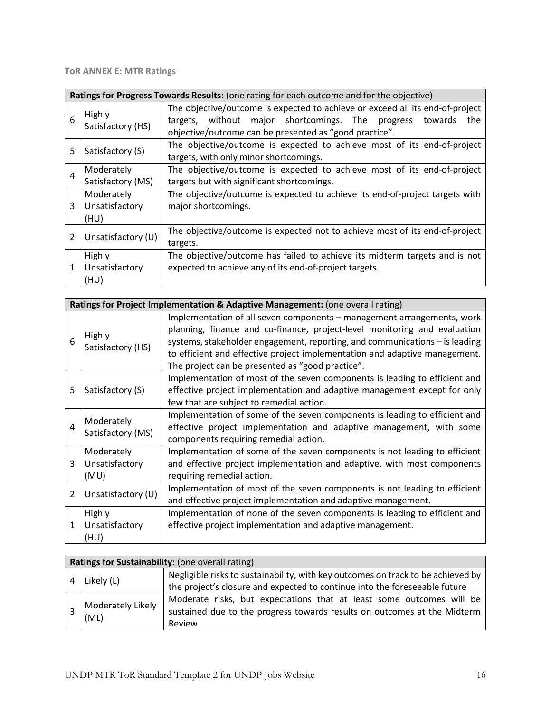**ToR ANNEX E: MTR Ratings**

|   | Ratings for Progress Towards Results: (one rating for each outcome and for the objective) |                                                                                                                                                                                                                      |  |  |  |
|---|-------------------------------------------------------------------------------------------|----------------------------------------------------------------------------------------------------------------------------------------------------------------------------------------------------------------------|--|--|--|
| 6 | Highly<br>Satisfactory (HS)                                                               | The objective/outcome is expected to achieve or exceed all its end-of-project<br>without major shortcomings. The<br>progress<br>towards<br>targets,<br>the<br>objective/outcome can be presented as "good practice". |  |  |  |
| 5 | Satisfactory (S)                                                                          | The objective/outcome is expected to achieve most of its end-of-project<br>targets, with only minor shortcomings.                                                                                                    |  |  |  |
| 4 | Moderately<br>Satisfactory (MS)                                                           | The objective/outcome is expected to achieve most of its end-of-project<br>targets but with significant shortcomings.                                                                                                |  |  |  |
| 3 | Moderately<br>Unsatisfactory<br>(HU)                                                      | The objective/outcome is expected to achieve its end-of-project targets with<br>major shortcomings.                                                                                                                  |  |  |  |
| 2 | Unsatisfactory (U)                                                                        | The objective/outcome is expected not to achieve most of its end-of-project<br>targets.                                                                                                                              |  |  |  |
|   | Highly<br>Unsatisfactory<br>(HU)                                                          | The objective/outcome has failed to achieve its midterm targets and is not<br>expected to achieve any of its end-of-project targets.                                                                                 |  |  |  |

|                |                                      | Ratings for Project Implementation & Adaptive Management: (one overall rating)                                                                                                                                                                                                                                                                                       |
|----------------|--------------------------------------|----------------------------------------------------------------------------------------------------------------------------------------------------------------------------------------------------------------------------------------------------------------------------------------------------------------------------------------------------------------------|
| 6              | Highly<br>Satisfactory (HS)          | Implementation of all seven components – management arrangements, work<br>planning, finance and co-finance, project-level monitoring and evaluation<br>systems, stakeholder engagement, reporting, and communications - is leading<br>to efficient and effective project implementation and adaptive management.<br>The project can be presented as "good practice". |
| 5              | Satisfactory (S)                     | Implementation of most of the seven components is leading to efficient and<br>effective project implementation and adaptive management except for only<br>few that are subject to remedial action.                                                                                                                                                                   |
| 4              | Moderately<br>Satisfactory (MS)      | Implementation of some of the seven components is leading to efficient and<br>effective project implementation and adaptive management, with some<br>components requiring remedial action.                                                                                                                                                                           |
| 3              | Moderately<br>Unsatisfactory<br>(MU) | Implementation of some of the seven components is not leading to efficient<br>and effective project implementation and adaptive, with most components<br>requiring remedial action.                                                                                                                                                                                  |
| $\overline{2}$ | Unsatisfactory (U)                   | Implementation of most of the seven components is not leading to efficient<br>and effective project implementation and adaptive management.                                                                                                                                                                                                                          |
| 1              | Highly<br>Unsatisfactory<br>(HU)     | Implementation of none of the seven components is leading to efficient and<br>effective project implementation and adaptive management.                                                                                                                                                                                                                              |

| Ratings for Sustainability: (one overall rating) |                                                                                  |  |  |
|--------------------------------------------------|----------------------------------------------------------------------------------|--|--|
| Likely (L)                                       | Negligible risks to sustainability, with key outcomes on track to be achieved by |  |  |
|                                                  | the project's closure and expected to continue into the foreseeable future       |  |  |
| Moderately Likely<br>(ML)                        | Moderate risks, but expectations that at least some outcomes will be             |  |  |
|                                                  | sustained due to the progress towards results on outcomes at the Midterm         |  |  |
|                                                  | Review                                                                           |  |  |